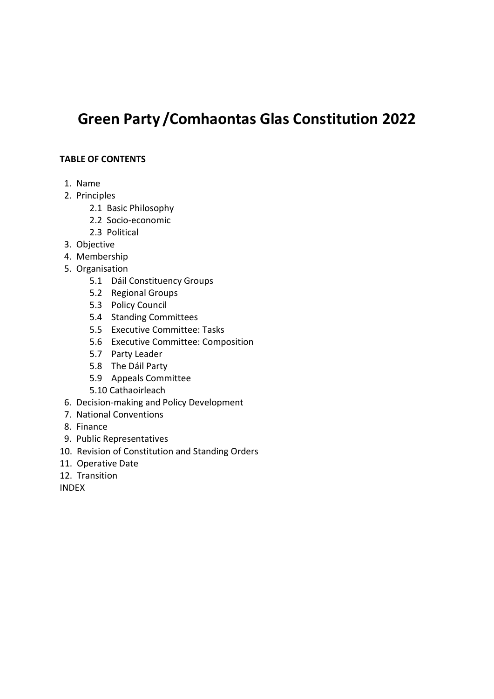# Green Party /Comhaontas Glas Constitution 2022

#### TABLE OF CONTENTS

- 1. Name
- 2. Principles
	- 2.1 Basic Philosophy
	- 2.2 Socio-economic
	- 2.3 Political
- 3. Objective
- 4. Membership
- 5. Organisation
	- 5.1 Dáil Constituency Groups
	- 5.2 Regional Groups
	- 5.3 Policy Council
	- 5.4 Standing Committees
	- 5.5 Executive Committee: Tasks
	- 5.6 Executive Committee: Composition
	- 5.7 Party Leader
	- 5.8 The Dáil Party
	- 5.9 Appeals Committee
	- 5.10 Cathaoirleach
- 6. Decision-making and Policy Development
- 7. National Conventions
- 8. Finance
- 9. Public Representatives
- 10. Revision of Constitution and Standing Orders
- 11. Operative Date
- 12. Transition

INDEX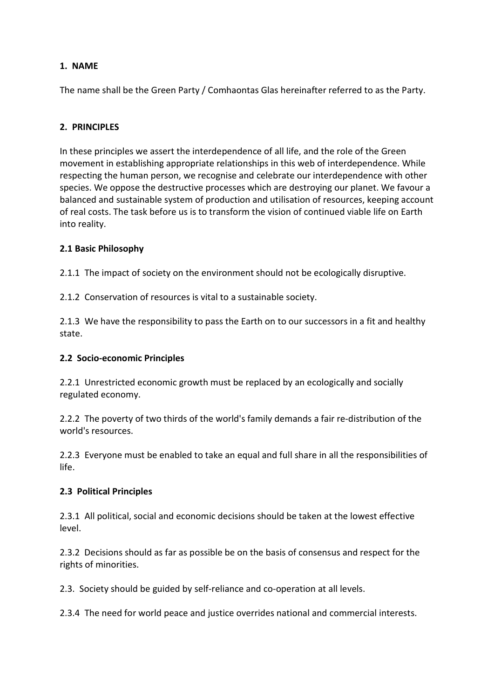# 1. NAME

The name shall be the Green Party / Comhaontas Glas hereinafter referred to as the Party.

#### 2. PRINCIPLES

In these principles we assert the interdependence of all life, and the role of the Green movement in establishing appropriate relationships in this web of interdependence. While respecting the human person, we recognise and celebrate our interdependence with other species. We oppose the destructive processes which are destroying our planet. We favour a balanced and sustainable system of production and utilisation of resources, keeping account of real costs. The task before us is to transform the vision of continued viable life on Earth into reality.

#### 2.1 Basic Philosophy

2.1.1 The impact of society on the environment should not be ecologically disruptive.

2.1.2 Conservation of resources is vital to a sustainable society.

2.1.3 We have the responsibility to pass the Earth on to our successors in a fit and healthy state.

#### 2.2 Socio-economic Principles

2.2.1 Unrestricted economic growth must be replaced by an ecologically and socially regulated economy.

2.2.2 The poverty of two thirds of the world's family demands a fair re-distribution of the world's resources.

2.2.3 Everyone must be enabled to take an equal and full share in all the responsibilities of life.

#### 2.3 Political Principles

2.3.1 All political, social and economic decisions should be taken at the lowest effective level.

2.3.2 Decisions should as far as possible be on the basis of consensus and respect for the rights of minorities.

2.3. Society should be guided by self-reliance and co-operation at all levels.

2.3.4 The need for world peace and justice overrides national and commercial interests.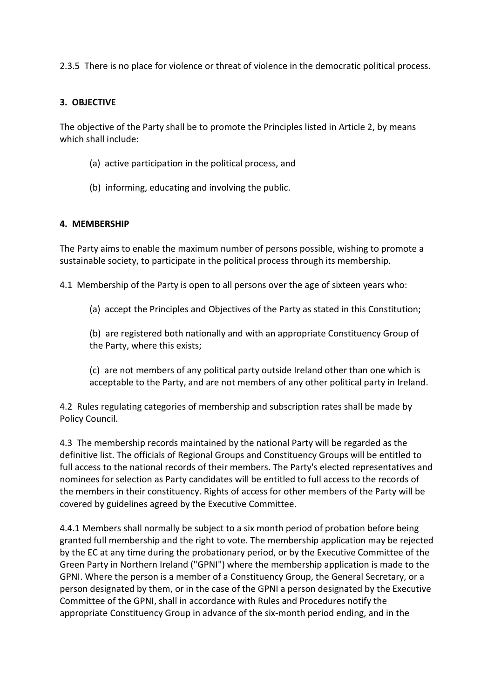2.3.5 There is no place for violence or threat of violence in the democratic political process.

#### 3. OBJECTIVE

The objective of the Party shall be to promote the Principles listed in Article 2, by means which shall include:

- (a) active participation in the political process, and
- (b) informing, educating and involving the public.

#### 4. MEMBERSHIP

The Party aims to enable the maximum number of persons possible, wishing to promote a sustainable society, to participate in the political process through its membership.

4.1 Membership of the Party is open to all persons over the age of sixteen years who:

(a) accept the Principles and Objectives of the Party as stated in this Constitution;

(b) are registered both nationally and with an appropriate Constituency Group of the Party, where this exists;

(c) are not members of any political party outside Ireland other than one which is acceptable to the Party, and are not members of any other political party in Ireland.

4.2 Rules regulating categories of membership and subscription rates shall be made by Policy Council.

4.3 The membership records maintained by the national Party will be regarded as the definitive list. The officials of Regional Groups and Constituency Groups will be entitled to full access to the national records of their members. The Party's elected representatives and nominees for selection as Party candidates will be entitled to full access to the records of the members in their constituency. Rights of access for other members of the Party will be covered by guidelines agreed by the Executive Committee.

4.4.1 Members shall normally be subject to a six month period of probation before being granted full membership and the right to vote. The membership application may be rejected by the EC at any time during the probationary period, or by the Executive Committee of the Green Party in Northern Ireland ("GPNI") where the membership application is made to the GPNI. Where the person is a member of a Constituency Group, the General Secretary, or a person designated by them, or in the case of the GPNI a person designated by the Executive Committee of the GPNI, shall in accordance with Rules and Procedures notify the appropriate Constituency Group in advance of the six-month period ending, and in the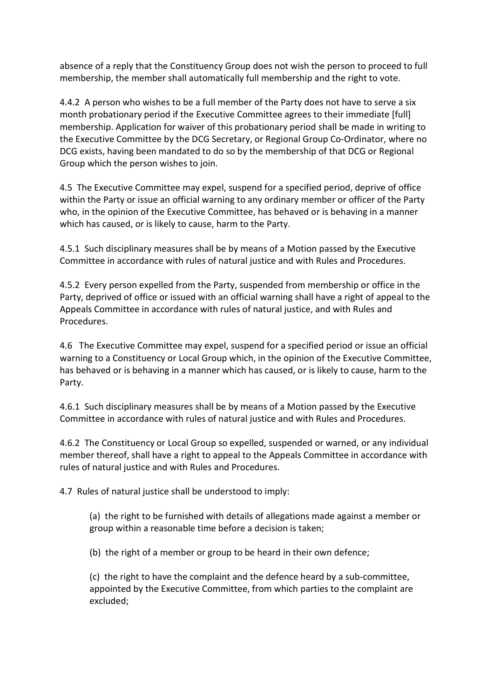absence of a reply that the Constituency Group does not wish the person to proceed to full membership, the member shall automatically full membership and the right to vote.

4.4.2 A person who wishes to be a full member of the Party does not have to serve a six month probationary period if the Executive Committee agrees to their immediate [full] membership. Application for waiver of this probationary period shall be made in writing to the Executive Committee by the DCG Secretary, or Regional Group Co-Ordinator, where no DCG exists, having been mandated to do so by the membership of that DCG or Regional Group which the person wishes to join.

4.5 The Executive Committee may expel, suspend for a specified period, deprive of office within the Party or issue an official warning to any ordinary member or officer of the Party who, in the opinion of the Executive Committee, has behaved or is behaving in a manner which has caused, or is likely to cause, harm to the Party.

4.5.1 Such disciplinary measures shall be by means of a Motion passed by the Executive Committee in accordance with rules of natural justice and with Rules and Procedures.

4.5.2 Every person expelled from the Party, suspended from membership or office in the Party, deprived of office or issued with an official warning shall have a right of appeal to the Appeals Committee in accordance with rules of natural justice, and with Rules and Procedures.

4.6 The Executive Committee may expel, suspend for a specified period or issue an official warning to a Constituency or Local Group which, in the opinion of the Executive Committee, has behaved or is behaving in a manner which has caused, or is likely to cause, harm to the Party.

4.6.1 Such disciplinary measures shall be by means of a Motion passed by the Executive Committee in accordance with rules of natural justice and with Rules and Procedures.

4.6.2 The Constituency or Local Group so expelled, suspended or warned, or any individual member thereof, shall have a right to appeal to the Appeals Committee in accordance with rules of natural justice and with Rules and Procedures.

4.7 Rules of natural justice shall be understood to imply:

(a) the right to be furnished with details of allegations made against a member or group within a reasonable time before a decision is taken;

(b) the right of a member or group to be heard in their own defence;

(c) the right to have the complaint and the defence heard by a sub-committee, appointed by the Executive Committee, from which parties to the complaint are excluded;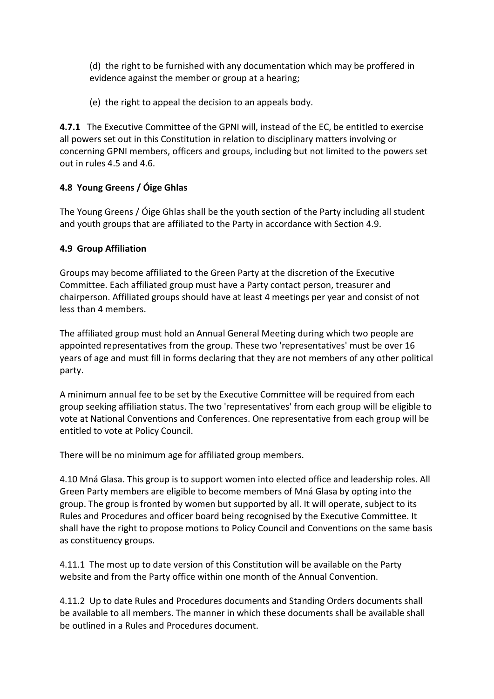(d) the right to be furnished with any documentation which may be proffered in evidence against the member or group at a hearing;

(e) the right to appeal the decision to an appeals body.

4.7.1 The Executive Committee of the GPNI will, instead of the EC, be entitled to exercise all powers set out in this Constitution in relation to disciplinary matters involving or concerning GPNI members, officers and groups, including but not limited to the powers set out in rules 4.5 and 4.6.

# 4.8 Young Greens / Óige Ghlas

The Young Greens / Óige Ghlas shall be the youth section of the Party including all student and youth groups that are affiliated to the Party in accordance with Section 4.9.

#### 4.9 Group Affiliation

Groups may become affiliated to the Green Party at the discretion of the Executive Committee. Each affiliated group must have a Party contact person, treasurer and chairperson. Affiliated groups should have at least 4 meetings per year and consist of not less than 4 members.

The affiliated group must hold an Annual General Meeting during which two people are appointed representatives from the group. These two 'representatives' must be over 16 years of age and must fill in forms declaring that they are not members of any other political party.

A minimum annual fee to be set by the Executive Committee will be required from each group seeking affiliation status. The two 'representatives' from each group will be eligible to vote at National Conventions and Conferences. One representative from each group will be entitled to vote at Policy Council.

There will be no minimum age for affiliated group members.

4.10 Mná Glasa. This group is to support women into elected office and leadership roles. All Green Party members are eligible to become members of Mná Glasa by opting into the group. The group is fronted by women but supported by all. It will operate, subject to its Rules and Procedures and officer board being recognised by the Executive Committee. It shall have the right to propose motions to Policy Council and Conventions on the same basis as constituency groups.

4.11.1 The most up to date version of this Constitution will be available on the Party website and from the Party office within one month of the Annual Convention.

4.11.2 Up to date Rules and Procedures documents and Standing Orders documents shall be available to all members. The manner in which these documents shall be available shall be outlined in a Rules and Procedures document.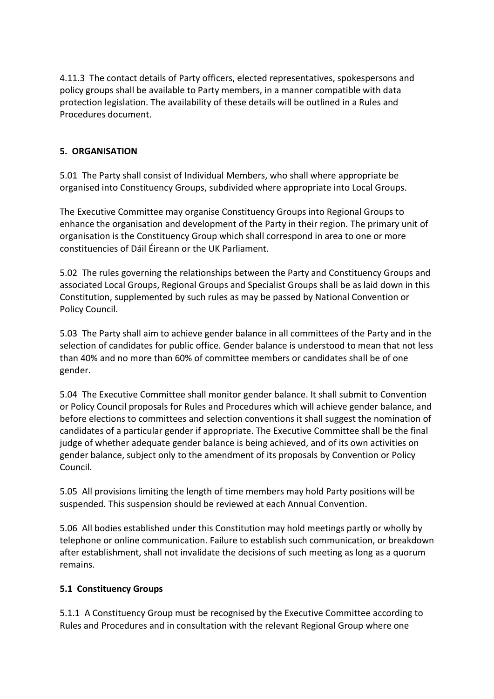4.11.3 The contact details of Party officers, elected representatives, spokespersons and policy groups shall be available to Party members, in a manner compatible with data protection legislation. The availability of these details will be outlined in a Rules and Procedures document.

#### 5. ORGANISATION

5.01 The Party shall consist of Individual Members, who shall where appropriate be organised into Constituency Groups, subdivided where appropriate into Local Groups.

The Executive Committee may organise Constituency Groups into Regional Groups to enhance the organisation and development of the Party in their region. The primary unit of organisation is the Constituency Group which shall correspond in area to one or more constituencies of Dáil Éireann or the UK Parliament.

5.02 The rules governing the relationships between the Party and Constituency Groups and associated Local Groups, Regional Groups and Specialist Groups shall be as laid down in this Constitution, supplemented by such rules as may be passed by National Convention or Policy Council.

5.03 The Party shall aim to achieve gender balance in all committees of the Party and in the selection of candidates for public office. Gender balance is understood to mean that not less than 40% and no more than 60% of committee members or candidates shall be of one gender.

5.04 The Executive Committee shall monitor gender balance. It shall submit to Convention or Policy Council proposals for Rules and Procedures which will achieve gender balance, and before elections to committees and selection conventions it shall suggest the nomination of candidates of a particular gender if appropriate. The Executive Committee shall be the final judge of whether adequate gender balance is being achieved, and of its own activities on gender balance, subject only to the amendment of its proposals by Convention or Policy Council.

5.05 All provisions limiting the length of time members may hold Party positions will be suspended. This suspension should be reviewed at each Annual Convention.

5.06 All bodies established under this Constitution may hold meetings partly or wholly by telephone or online communication. Failure to establish such communication, or breakdown after establishment, shall not invalidate the decisions of such meeting as long as a quorum remains.

#### 5.1 Constituency Groups

5.1.1 A Constituency Group must be recognised by the Executive Committee according to Rules and Procedures and in consultation with the relevant Regional Group where one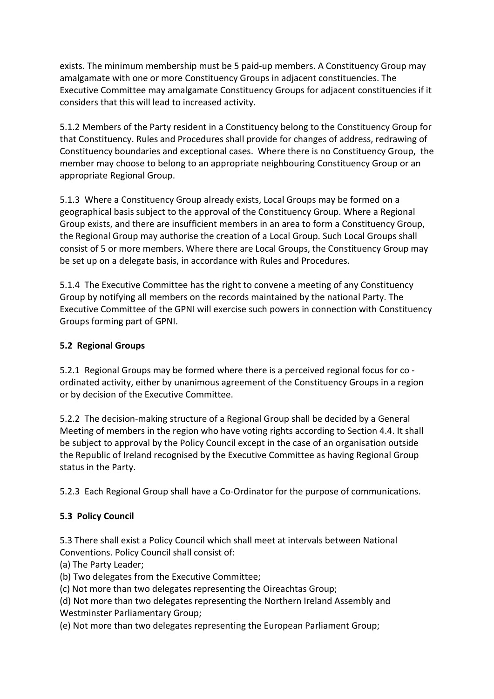exists. The minimum membership must be 5 paid-up members. A Constituency Group may amalgamate with one or more Constituency Groups in adjacent constituencies. The Executive Committee may amalgamate Constituency Groups for adjacent constituencies if it considers that this will lead to increased activity.

5.1.2 Members of the Party resident in a Constituency belong to the Constituency Group for that Constituency. Rules and Procedures shall provide for changes of address, redrawing of Constituency boundaries and exceptional cases. Where there is no Constituency Group, the member may choose to belong to an appropriate neighbouring Constituency Group or an appropriate Regional Group.

5.1.3 Where a Constituency Group already exists, Local Groups may be formed on a geographical basis subject to the approval of the Constituency Group. Where a Regional Group exists, and there are insufficient members in an area to form a Constituency Group, the Regional Group may authorise the creation of a Local Group. Such Local Groups shall consist of 5 or more members. Where there are Local Groups, the Constituency Group may be set up on a delegate basis, in accordance with Rules and Procedures.

5.1.4 The Executive Committee has the right to convene a meeting of any Constituency Group by notifying all members on the records maintained by the national Party. The Executive Committee of the GPNI will exercise such powers in connection with Constituency Groups forming part of GPNI.

# 5.2 Regional Groups

5.2.1 Regional Groups may be formed where there is a perceived regional focus for co ordinated activity, either by unanimous agreement of the Constituency Groups in a region or by decision of the Executive Committee.

5.2.2 The decision-making structure of a Regional Group shall be decided by a General Meeting of members in the region who have voting rights according to Section 4.4. It shall be subject to approval by the Policy Council except in the case of an organisation outside the Republic of Ireland recognised by the Executive Committee as having Regional Group status in the Party.

5.2.3 Each Regional Group shall have a Co-Ordinator for the purpose of communications.

# 5.3 Policy Council

5.3 There shall exist a Policy Council which shall meet at intervals between National Conventions. Policy Council shall consist of:

(a) The Party Leader;

(b) Two delegates from the Executive Committee;

(c) Not more than two delegates representing the Oireachtas Group;

(d) Not more than two delegates representing the Northern Ireland Assembly and Westminster Parliamentary Group;

(e) Not more than two delegates representing the European Parliament Group;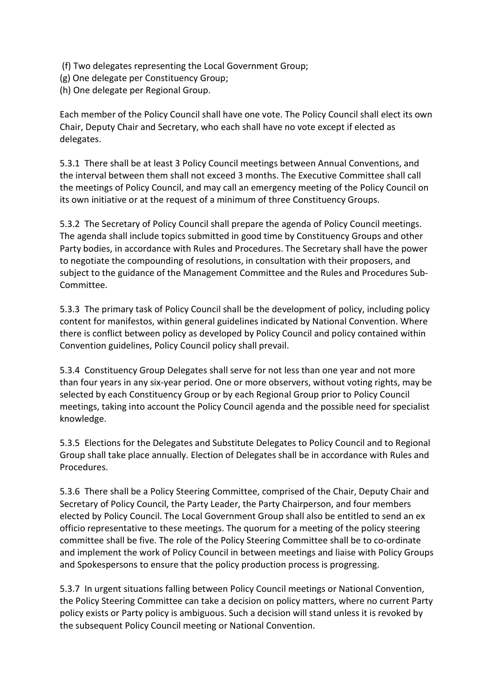- (f) Two delegates representing the Local Government Group;
- (g) One delegate per Constituency Group;
- (h) One delegate per Regional Group.

Each member of the Policy Council shall have one vote. The Policy Council shall elect its own Chair, Deputy Chair and Secretary, who each shall have no vote except if elected as delegates.

5.3.1 There shall be at least 3 Policy Council meetings between Annual Conventions, and the interval between them shall not exceed 3 months. The Executive Committee shall call the meetings of Policy Council, and may call an emergency meeting of the Policy Council on its own initiative or at the request of a minimum of three Constituency Groups.

5.3.2 The Secretary of Policy Council shall prepare the agenda of Policy Council meetings. The agenda shall include topics submitted in good time by Constituency Groups and other Party bodies, in accordance with Rules and Procedures. The Secretary shall have the power to negotiate the compounding of resolutions, in consultation with their proposers, and subject to the guidance of the Management Committee and the Rules and Procedures Sub-Committee.

5.3.3 The primary task of Policy Council shall be the development of policy, including policy content for manifestos, within general guidelines indicated by National Convention. Where there is conflict between policy as developed by Policy Council and policy contained within Convention guidelines, Policy Council policy shall prevail.

5.3.4 Constituency Group Delegates shall serve for not less than one year and not more than four years in any six-year period. One or more observers, without voting rights, may be selected by each Constituency Group or by each Regional Group prior to Policy Council meetings, taking into account the Policy Council agenda and the possible need for specialist knowledge.

5.3.5 Elections for the Delegates and Substitute Delegates to Policy Council and to Regional Group shall take place annually. Election of Delegates shall be in accordance with Rules and Procedures.

5.3.6 There shall be a Policy Steering Committee, comprised of the Chair, Deputy Chair and Secretary of Policy Council, the Party Leader, the Party Chairperson, and four members elected by Policy Council. The Local Government Group shall also be entitled to send an ex officio representative to these meetings. The quorum for a meeting of the policy steering committee shall be five. The role of the Policy Steering Committee shall be to co-ordinate and implement the work of Policy Council in between meetings and liaise with Policy Groups and Spokespersons to ensure that the policy production process is progressing.

5.3.7 In urgent situations falling between Policy Council meetings or National Convention, the Policy Steering Committee can take a decision on policy matters, where no current Party policy exists or Party policy is ambiguous. Such a decision will stand unless it is revoked by the subsequent Policy Council meeting or National Convention.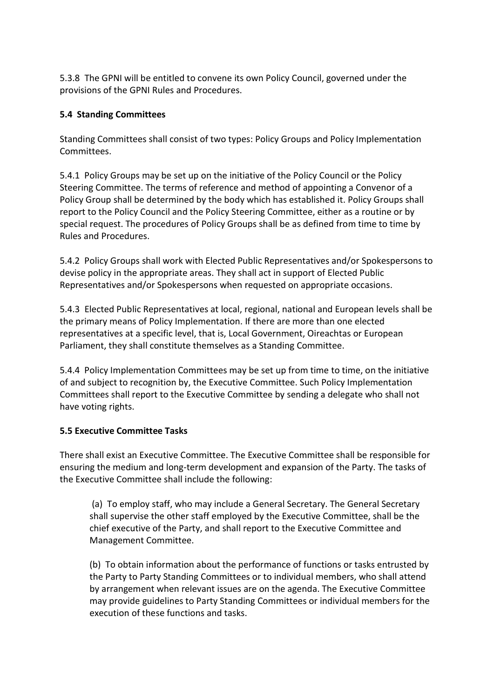5.3.8 The GPNI will be entitled to convene its own Policy Council, governed under the provisions of the GPNI Rules and Procedures.

## 5.4 Standing Committees

Standing Committees shall consist of two types: Policy Groups and Policy Implementation Committees.

5.4.1 Policy Groups may be set up on the initiative of the Policy Council or the Policy Steering Committee. The terms of reference and method of appointing a Convenor of a Policy Group shall be determined by the body which has established it. Policy Groups shall report to the Policy Council and the Policy Steering Committee, either as a routine or by special request. The procedures of Policy Groups shall be as defined from time to time by Rules and Procedures.

5.4.2 Policy Groups shall work with Elected Public Representatives and/or Spokespersons to devise policy in the appropriate areas. They shall act in support of Elected Public Representatives and/or Spokespersons when requested on appropriate occasions.

5.4.3 Elected Public Representatives at local, regional, national and European levels shall be the primary means of Policy Implementation. If there are more than one elected representatives at a specific level, that is, Local Government, Oireachtas or European Parliament, they shall constitute themselves as a Standing Committee.

5.4.4 Policy Implementation Committees may be set up from time to time, on the initiative of and subject to recognition by, the Executive Committee. Such Policy Implementation Committees shall report to the Executive Committee by sending a delegate who shall not have voting rights.

#### 5.5 Executive Committee Tasks

There shall exist an Executive Committee. The Executive Committee shall be responsible for ensuring the medium and long-term development and expansion of the Party. The tasks of the Executive Committee shall include the following:

 (a) To employ staff, who may include a General Secretary. The General Secretary shall supervise the other staff employed by the Executive Committee, shall be the chief executive of the Party, and shall report to the Executive Committee and Management Committee.

(b) To obtain information about the performance of functions or tasks entrusted by the Party to Party Standing Committees or to individual members, who shall attend by arrangement when relevant issues are on the agenda. The Executive Committee may provide guidelines to Party Standing Committees or individual members for the execution of these functions and tasks.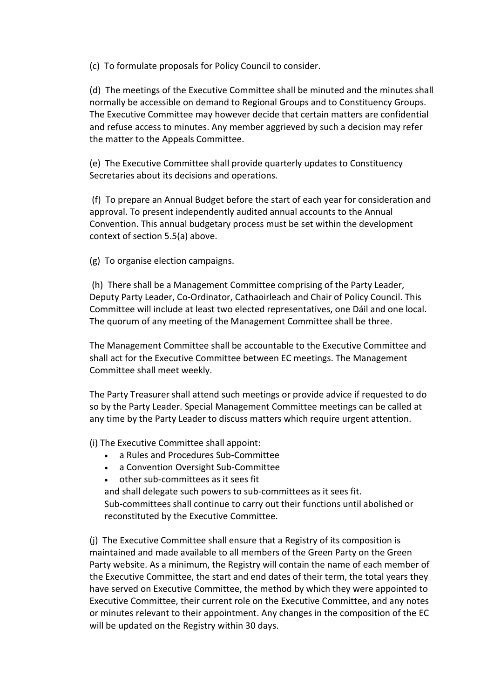(c) To formulate proposals for Policy Council to consider.

(d) The meetings of the Executive Committee shall be minuted and the minutes shall normally be accessible on demand to Regional Groups and to Constituency Groups. The Executive Committee may however decide that certain matters are confidential and refuse access to minutes. Any member aggrieved by such a decision may refer the matter to the Appeals Committee.

(e) The Executive Committee shall provide quarterly updates to Constituency Secretaries about its decisions and operations.

 (f) To prepare an Annual Budget before the start of each year for consideration and approval. To present independently audited annual accounts to the Annual Convention. This annual budgetary process must be set within the development context of section 5.5(a) above.

(g) To organise election campaigns.

 (h) There shall be a Management Committee comprising of the Party Leader, Deputy Party Leader, Co-Ordinator, Cathaoirleach and Chair of Policy Council. This Committee will include at least two elected representatives, one Dáil and one local. The quorum of any meeting of the Management Committee shall be three.

The Management Committee shall be accountable to the Executive Committee and shall act for the Executive Committee between EC meetings. The Management Committee shall meet weekly.

The Party Treasurer shall attend such meetings or provide advice if requested to do so by the Party Leader. Special Management Committee meetings can be called at any time by the Party Leader to discuss matters which require urgent attention.

(i) The Executive Committee shall appoint:

- a Rules and Procedures Sub-Committee
- a Convention Oversight Sub-Committee
- other sub-committees as it sees fit

and shall delegate such powers to sub-committees as it sees fit. Sub-committees shall continue to carry out their functions until abolished or reconstituted by the Executive Committee.

(j) The Executive Committee shall ensure that a Registry of its composition is maintained and made available to all members of the Green Party on the Green Party website. As a minimum, the Registry will contain the name of each member of the Executive Committee, the start and end dates of their term, the total years they have served on Executive Committee, the method by which they were appointed to Executive Committee, their current role on the Executive Committee, and any notes or minutes relevant to their appointment. Any changes in the composition of the EC will be updated on the Registry within 30 days.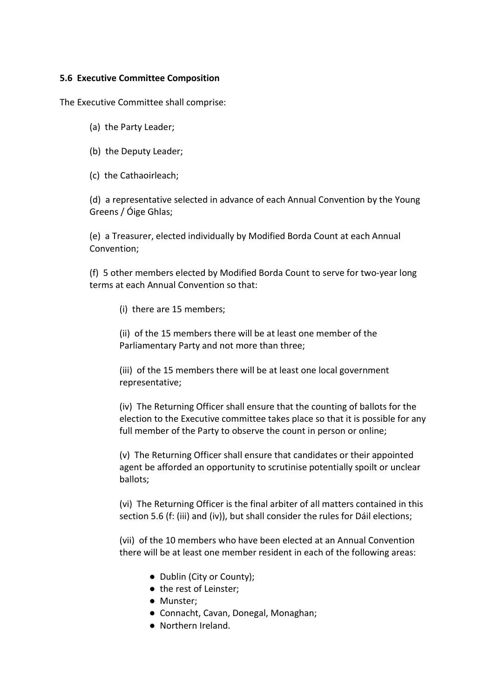#### 5.6 Executive Committee Composition

The Executive Committee shall comprise:

- (a) the Party Leader;
- (b) the Deputy Leader;
- (c) the Cathaoirleach;

(d) a representative selected in advance of each Annual Convention by the Young Greens / Óige Ghlas;

(e) a Treasurer, elected individually by Modified Borda Count at each Annual Convention;

(f) 5 other members elected by Modified Borda Count to serve for two-year long terms at each Annual Convention so that:

(i) there are 15 members;

(ii) of the 15 members there will be at least one member of the Parliamentary Party and not more than three;

(iii) of the 15 members there will be at least one local government representative;

(iv) The Returning Officer shall ensure that the counting of ballots for the election to the Executive committee takes place so that it is possible for any full member of the Party to observe the count in person or online;

(v) The Returning Officer shall ensure that candidates or their appointed agent be afforded an opportunity to scrutinise potentially spoilt or unclear ballots;

(vi) The Returning Officer is the final arbiter of all matters contained in this section 5.6 (f: (iii) and (iv)), but shall consider the rules for Dáil elections;

(vii) of the 10 members who have been elected at an Annual Convention there will be at least one member resident in each of the following areas:

- Dublin (City or County);
- the rest of Leinster;
- Munster;
- Connacht, Cavan, Donegal, Monaghan;
- Northern Ireland.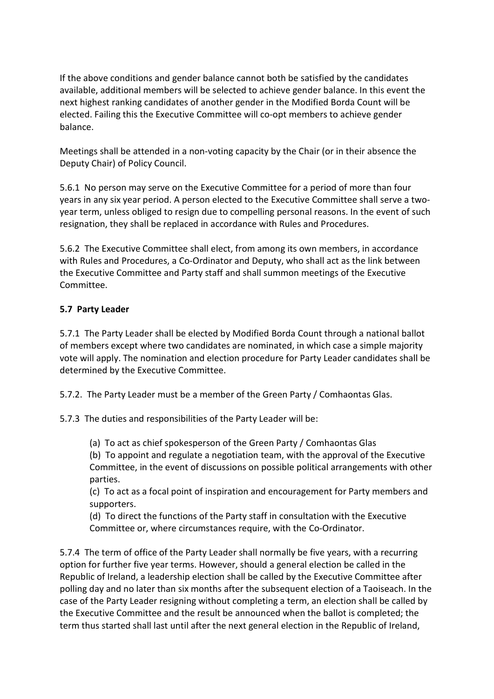If the above conditions and gender balance cannot both be satisfied by the candidates available, additional members will be selected to achieve gender balance. In this event the next highest ranking candidates of another gender in the Modified Borda Count will be elected. Failing this the Executive Committee will co-opt members to achieve gender balance.

Meetings shall be attended in a non-voting capacity by the Chair (or in their absence the Deputy Chair) of Policy Council.

5.6.1 No person may serve on the Executive Committee for a period of more than four years in any six year period. A person elected to the Executive Committee shall serve a twoyear term, unless obliged to resign due to compelling personal reasons. In the event of such resignation, they shall be replaced in accordance with Rules and Procedures.

5.6.2 The Executive Committee shall elect, from among its own members, in accordance with Rules and Procedures, a Co-Ordinator and Deputy, who shall act as the link between the Executive Committee and Party staff and shall summon meetings of the Executive Committee.

# 5.7 Party Leader

5.7.1 The Party Leader shall be elected by Modified Borda Count through a national ballot of members except where two candidates are nominated, in which case a simple majority vote will apply. The nomination and election procedure for Party Leader candidates shall be determined by the Executive Committee.

5.7.2. The Party Leader must be a member of the Green Party / Comhaontas Glas.

5.7.3 The duties and responsibilities of the Party Leader will be:

(a) To act as chief spokesperson of the Green Party / Comhaontas Glas

(b) To appoint and regulate a negotiation team, with the approval of the Executive Committee, in the event of discussions on possible political arrangements with other parties.

(c) To act as a focal point of inspiration and encouragement for Party members and supporters.

(d) To direct the functions of the Party staff in consultation with the Executive Committee or, where circumstances require, with the Co-Ordinator.

5.7.4 The term of office of the Party Leader shall normally be five years, with a recurring option for further five year terms. However, should a general election be called in the Republic of Ireland, a leadership election shall be called by the Executive Committee after polling day and no later than six months after the subsequent election of a Taoiseach. In the case of the Party Leader resigning without completing a term, an election shall be called by the Executive Committee and the result be announced when the ballot is completed; the term thus started shall last until after the next general election in the Republic of Ireland,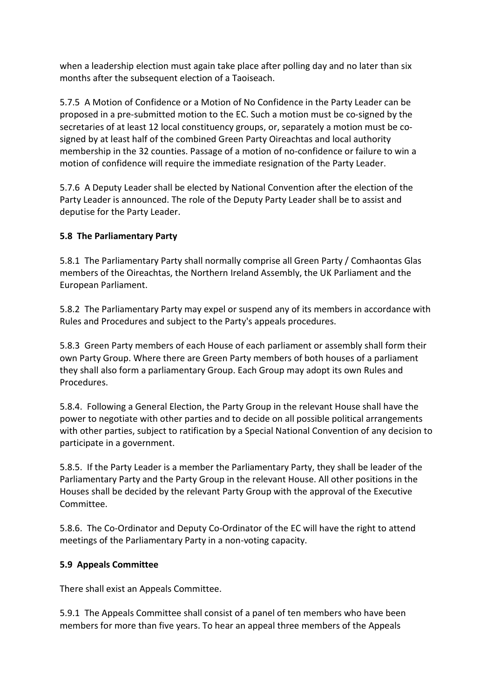when a leadership election must again take place after polling day and no later than six months after the subsequent election of a Taoiseach.

5.7.5 A Motion of Confidence or a Motion of No Confidence in the Party Leader can be proposed in a pre-submitted motion to the EC. Such a motion must be co-signed by the secretaries of at least 12 local constituency groups, or, separately a motion must be cosigned by at least half of the combined Green Party Oireachtas and local authority membership in the 32 counties. Passage of a motion of no-confidence or failure to win a motion of confidence will require the immediate resignation of the Party Leader.

5.7.6 A Deputy Leader shall be elected by National Convention after the election of the Party Leader is announced. The role of the Deputy Party Leader shall be to assist and deputise for the Party Leader.

#### 5.8 The Parliamentary Party

5.8.1 The Parliamentary Party shall normally comprise all Green Party / Comhaontas Glas members of the Oireachtas, the Northern Ireland Assembly, the UK Parliament and the European Parliament.

5.8.2 The Parliamentary Party may expel or suspend any of its members in accordance with Rules and Procedures and subject to the Party's appeals procedures.

5.8.3 Green Party members of each House of each parliament or assembly shall form their own Party Group. Where there are Green Party members of both houses of a parliament they shall also form a parliamentary Group. Each Group may adopt its own Rules and Procedures.

5.8.4. Following a General Election, the Party Group in the relevant House shall have the power to negotiate with other parties and to decide on all possible political arrangements with other parties, subject to ratification by a Special National Convention of any decision to participate in a government.

5.8.5. If the Party Leader is a member the Parliamentary Party, they shall be leader of the Parliamentary Party and the Party Group in the relevant House. All other positions in the Houses shall be decided by the relevant Party Group with the approval of the Executive Committee.

5.8.6. The Co-Ordinator and Deputy Co-Ordinator of the EC will have the right to attend meetings of the Parliamentary Party in a non-voting capacity.

#### 5.9 Appeals Committee

There shall exist an Appeals Committee.

5.9.1 The Appeals Committee shall consist of a panel of ten members who have been members for more than five years. To hear an appeal three members of the Appeals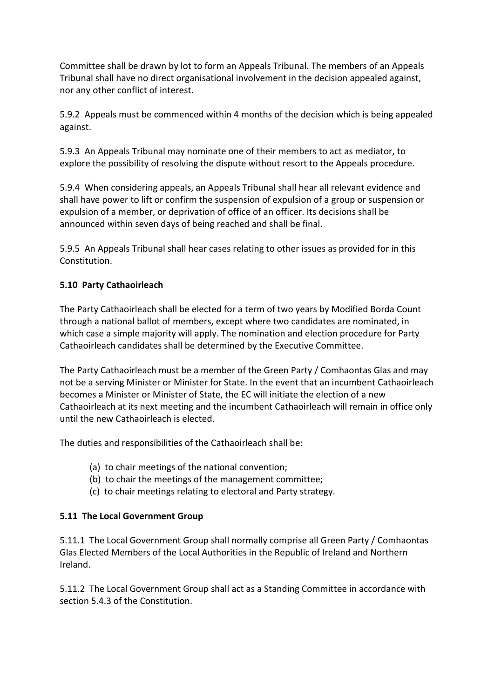Committee shall be drawn by lot to form an Appeals Tribunal. The members of an Appeals Tribunal shall have no direct organisational involvement in the decision appealed against, nor any other conflict of interest.

5.9.2 Appeals must be commenced within 4 months of the decision which is being appealed against.

5.9.3 An Appeals Tribunal may nominate one of their members to act as mediator, to explore the possibility of resolving the dispute without resort to the Appeals procedure.

5.9.4 When considering appeals, an Appeals Tribunal shall hear all relevant evidence and shall have power to lift or confirm the suspension of expulsion of a group or suspension or expulsion of a member, or deprivation of office of an officer. Its decisions shall be announced within seven days of being reached and shall be final.

5.9.5 An Appeals Tribunal shall hear cases relating to other issues as provided for in this Constitution.

# 5.10 Party Cathaoirleach

The Party Cathaoirleach shall be elected for a term of two years by Modified Borda Count through a national ballot of members, except where two candidates are nominated, in which case a simple majority will apply. The nomination and election procedure for Party Cathaoirleach candidates shall be determined by the Executive Committee.

The Party Cathaoirleach must be a member of the Green Party / Comhaontas Glas and may not be a serving Minister or Minister for State. In the event that an incumbent Cathaoirleach becomes a Minister or Minister of State, the EC will initiate the election of a new Cathaoirleach at its next meeting and the incumbent Cathaoirleach will remain in office only until the new Cathaoirleach is elected.

The duties and responsibilities of the Cathaoirleach shall be:

- (a) to chair meetings of the national convention;
- (b) to chair the meetings of the management committee;
- (c) to chair meetings relating to electoral and Party strategy.

#### 5.11 The Local Government Group

5.11.1 The Local Government Group shall normally comprise all Green Party / Comhaontas Glas Elected Members of the Local Authorities in the Republic of Ireland and Northern Ireland.

5.11.2 The Local Government Group shall act as a Standing Committee in accordance with section 5.4.3 of the Constitution.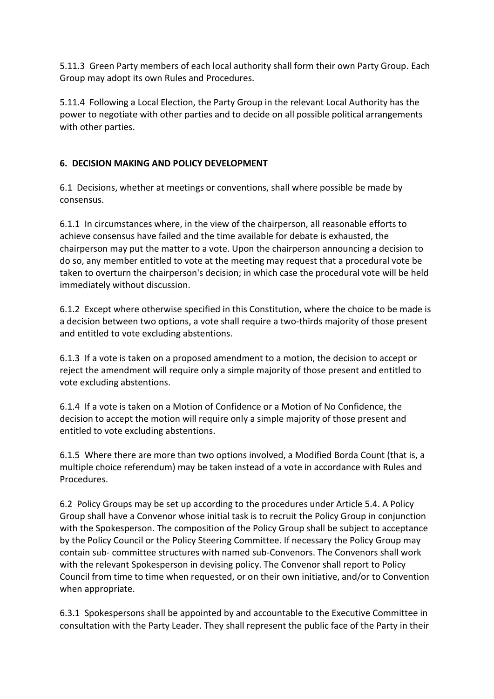5.11.3 Green Party members of each local authority shall form their own Party Group. Each Group may adopt its own Rules and Procedures.

5.11.4 Following a Local Election, the Party Group in the relevant Local Authority has the power to negotiate with other parties and to decide on all possible political arrangements with other parties.

#### 6. DECISION MAKING AND POLICY DEVELOPMENT

6.1 Decisions, whether at meetings or conventions, shall where possible be made by consensus.

6.1.1 In circumstances where, in the view of the chairperson, all reasonable efforts to achieve consensus have failed and the time available for debate is exhausted, the chairperson may put the matter to a vote. Upon the chairperson announcing a decision to do so, any member entitled to vote at the meeting may request that a procedural vote be taken to overturn the chairperson's decision; in which case the procedural vote will be held immediately without discussion.

6.1.2 Except where otherwise specified in this Constitution, where the choice to be made is a decision between two options, a vote shall require a two-thirds majority of those present and entitled to vote excluding abstentions.

6.1.3 If a vote is taken on a proposed amendment to a motion, the decision to accept or reject the amendment will require only a simple majority of those present and entitled to vote excluding abstentions.

6.1.4 If a vote is taken on a Motion of Confidence or a Motion of No Confidence, the decision to accept the motion will require only a simple majority of those present and entitled to vote excluding abstentions.

6.1.5 Where there are more than two options involved, a Modified Borda Count (that is, a multiple choice referendum) may be taken instead of a vote in accordance with Rules and Procedures.

6.2 Policy Groups may be set up according to the procedures under Article 5.4. A Policy Group shall have a Convenor whose initial task is to recruit the Policy Group in conjunction with the Spokesperson. The composition of the Policy Group shall be subject to acceptance by the Policy Council or the Policy Steering Committee. If necessary the Policy Group may contain sub- committee structures with named sub-Convenors. The Convenors shall work with the relevant Spokesperson in devising policy. The Convenor shall report to Policy Council from time to time when requested, or on their own initiative, and/or to Convention when appropriate.

6.3.1 Spokespersons shall be appointed by and accountable to the Executive Committee in consultation with the Party Leader. They shall represent the public face of the Party in their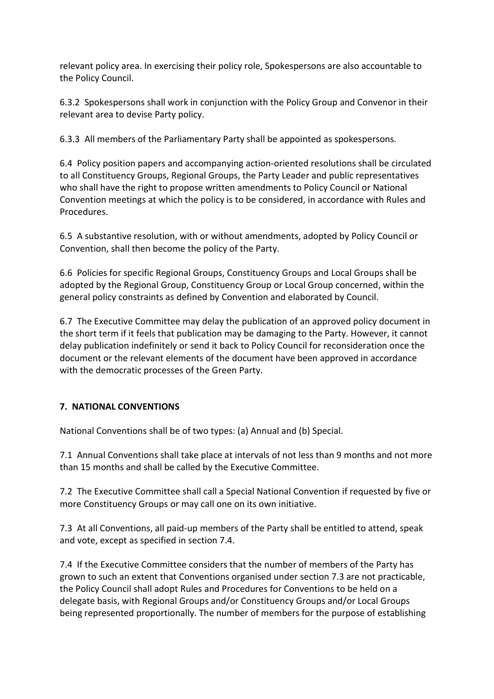relevant policy area. In exercising their policy role, Spokespersons are also accountable to the Policy Council.

6.3.2 Spokespersons shall work in conjunction with the Policy Group and Convenor in their relevant area to devise Party policy.

6.3.3 All members of the Parliamentary Party shall be appointed as spokespersons.

6.4 Policy position papers and accompanying action-oriented resolutions shall be circulated to all Constituency Groups, Regional Groups, the Party Leader and public representatives who shall have the right to propose written amendments to Policy Council or National Convention meetings at which the policy is to be considered, in accordance with Rules and Procedures.

6.5 A substantive resolution, with or without amendments, adopted by Policy Council or Convention, shall then become the policy of the Party.

6.6 Policies for specific Regional Groups, Constituency Groups and Local Groups shall be adopted by the Regional Group, Constituency Group or Local Group concerned, within the general policy constraints as defined by Convention and elaborated by Council.

6.7 The Executive Committee may delay the publication of an approved policy document in the short term if it feels that publication may be damaging to the Party. However, it cannot delay publication indefinitely or send it back to Policy Council for reconsideration once the document or the relevant elements of the document have been approved in accordance with the democratic processes of the Green Party.

# 7. NATIONAL CONVENTIONS

National Conventions shall be of two types: (a) Annual and (b) Special.

7.1 Annual Conventions shall take place at intervals of not less than 9 months and not more than 15 months and shall be called by the Executive Committee.

7.2 The Executive Committee shall call a Special National Convention if requested by five or more Constituency Groups or may call one on its own initiative.

7.3 At all Conventions, all paid-up members of the Party shall be entitled to attend, speak and vote, except as specified in section 7.4.

7.4 If the Executive Committee considers that the number of members of the Party has grown to such an extent that Conventions organised under section 7.3 are not practicable, the Policy Council shall adopt Rules and Procedures for Conventions to be held on a delegate basis, with Regional Groups and/or Constituency Groups and/or Local Groups being represented proportionally. The number of members for the purpose of establishing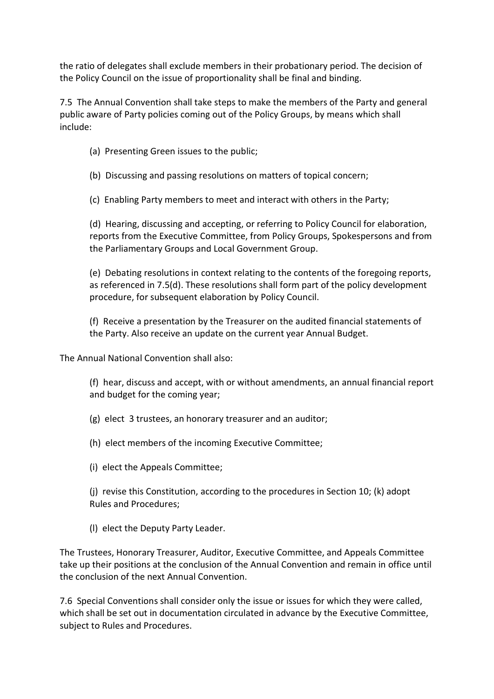the ratio of delegates shall exclude members in their probationary period. The decision of the Policy Council on the issue of proportionality shall be final and binding.

7.5 The Annual Convention shall take steps to make the members of the Party and general public aware of Party policies coming out of the Policy Groups, by means which shall include:

- (a) Presenting Green issues to the public;
- (b) Discussing and passing resolutions on matters of topical concern;
- (c) Enabling Party members to meet and interact with others in the Party;

(d) Hearing, discussing and accepting, or referring to Policy Council for elaboration, reports from the Executive Committee, from Policy Groups, Spokespersons and from the Parliamentary Groups and Local Government Group.

(e) Debating resolutions in context relating to the contents of the foregoing reports, as referenced in 7.5(d). These resolutions shall form part of the policy development procedure, for subsequent elaboration by Policy Council.

(f) Receive a presentation by the Treasurer on the audited financial statements of the Party. Also receive an update on the current year Annual Budget.

The Annual National Convention shall also:

(f) hear, discuss and accept, with or without amendments, an annual financial report and budget for the coming year;

(g) elect 3 trustees, an honorary treasurer and an auditor;

(h) elect members of the incoming Executive Committee;

(i) elect the Appeals Committee;

(j) revise this Constitution, according to the procedures in Section 10; (k) adopt Rules and Procedures;

(l) elect the Deputy Party Leader.

The Trustees, Honorary Treasurer, Auditor, Executive Committee, and Appeals Committee take up their positions at the conclusion of the Annual Convention and remain in office until the conclusion of the next Annual Convention.

7.6 Special Conventions shall consider only the issue or issues for which they were called, which shall be set out in documentation circulated in advance by the Executive Committee, subject to Rules and Procedures.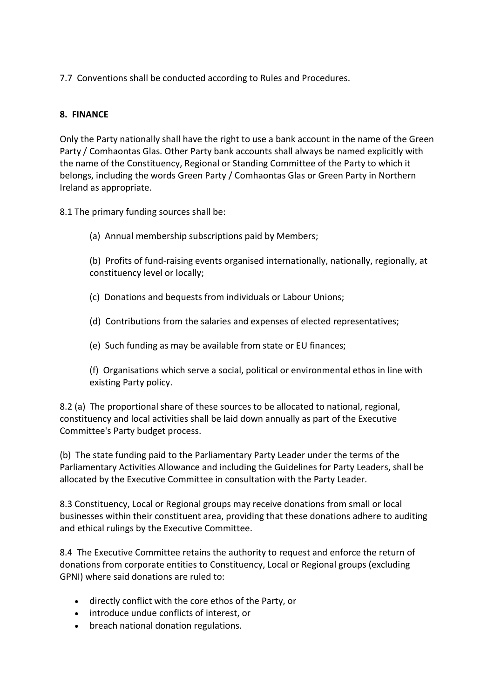7.7 Conventions shall be conducted according to Rules and Procedures.

## 8. FINANCE

Only the Party nationally shall have the right to use a bank account in the name of the Green Party / Comhaontas Glas. Other Party bank accounts shall always be named explicitly with the name of the Constituency, Regional or Standing Committee of the Party to which it belongs, including the words Green Party / Comhaontas Glas or Green Party in Northern Ireland as appropriate.

8.1 The primary funding sources shall be:

(a) Annual membership subscriptions paid by Members;

(b) Profits of fund-raising events organised internationally, nationally, regionally, at constituency level or locally;

- (c) Donations and bequests from individuals or Labour Unions;
- (d) Contributions from the salaries and expenses of elected representatives;
- (e) Such funding as may be available from state or EU finances;

(f) Organisations which serve a social, political or environmental ethos in line with existing Party policy.

8.2 (a) The proportional share of these sources to be allocated to national, regional, constituency and local activities shall be laid down annually as part of the Executive Committee's Party budget process.

(b) The state funding paid to the Parliamentary Party Leader under the terms of the Parliamentary Activities Allowance and including the Guidelines for Party Leaders, shall be allocated by the Executive Committee in consultation with the Party Leader.

8.3 Constituency, Local or Regional groups may receive donations from small or local businesses within their constituent area, providing that these donations adhere to auditing and ethical rulings by the Executive Committee.

8.4 The Executive Committee retains the authority to request and enforce the return of donations from corporate entities to Constituency, Local or Regional groups (excluding GPNI) where said donations are ruled to:

- directly conflict with the core ethos of the Party, or
- introduce undue conflicts of interest, or
- breach national donation regulations.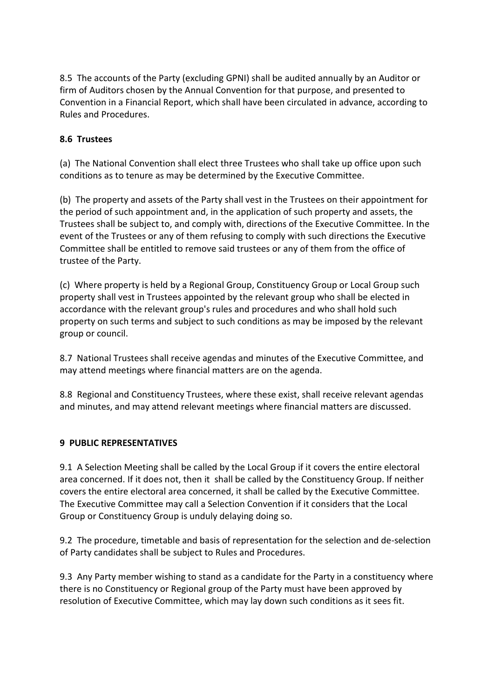8.5 The accounts of the Party (excluding GPNI) shall be audited annually by an Auditor or firm of Auditors chosen by the Annual Convention for that purpose, and presented to Convention in a Financial Report, which shall have been circulated in advance, according to Rules and Procedures.

#### 8.6 Trustees

(a) The National Convention shall elect three Trustees who shall take up office upon such conditions as to tenure as may be determined by the Executive Committee.

(b) The property and assets of the Party shall vest in the Trustees on their appointment for the period of such appointment and, in the application of such property and assets, the Trustees shall be subject to, and comply with, directions of the Executive Committee. In the event of the Trustees or any of them refusing to comply with such directions the Executive Committee shall be entitled to remove said trustees or any of them from the office of trustee of the Party.

(c) Where property is held by a Regional Group, Constituency Group or Local Group such property shall vest in Trustees appointed by the relevant group who shall be elected in accordance with the relevant group's rules and procedures and who shall hold such property on such terms and subject to such conditions as may be imposed by the relevant group or council.

8.7 National Trustees shall receive agendas and minutes of the Executive Committee, and may attend meetings where financial matters are on the agenda.

8.8 Regional and Constituency Trustees, where these exist, shall receive relevant agendas and minutes, and may attend relevant meetings where financial matters are discussed.

#### 9 PUBLIC REPRESENTATIVES

9.1 A Selection Meeting shall be called by the Local Group if it covers the entire electoral area concerned. If it does not, then it shall be called by the Constituency Group. If neither covers the entire electoral area concerned, it shall be called by the Executive Committee. The Executive Committee may call a Selection Convention if it considers that the Local Group or Constituency Group is unduly delaying doing so.

9.2 The procedure, timetable and basis of representation for the selection and de-selection of Party candidates shall be subject to Rules and Procedures.

9.3 Any Party member wishing to stand as a candidate for the Party in a constituency where there is no Constituency or Regional group of the Party must have been approved by resolution of Executive Committee, which may lay down such conditions as it sees fit.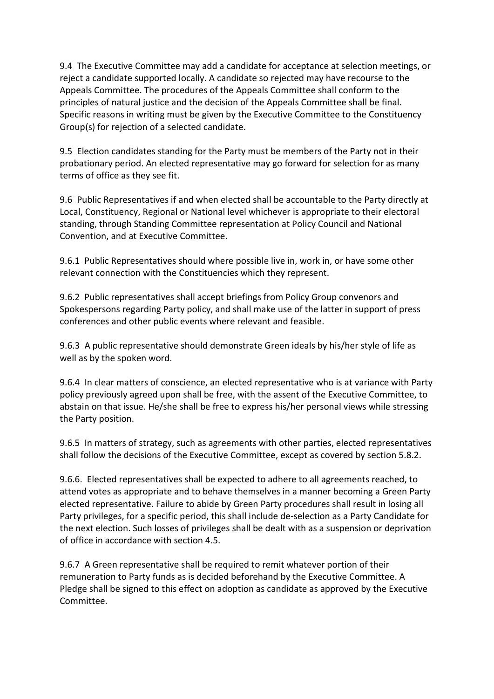9.4 The Executive Committee may add a candidate for acceptance at selection meetings, or reject a candidate supported locally. A candidate so rejected may have recourse to the Appeals Committee. The procedures of the Appeals Committee shall conform to the principles of natural justice and the decision of the Appeals Committee shall be final. Specific reasons in writing must be given by the Executive Committee to the Constituency Group(s) for rejection of a selected candidate.

9.5 Election candidates standing for the Party must be members of the Party not in their probationary period. An elected representative may go forward for selection for as many terms of office as they see fit.

9.6 Public Representatives if and when elected shall be accountable to the Party directly at Local, Constituency, Regional or National level whichever is appropriate to their electoral standing, through Standing Committee representation at Policy Council and National Convention, and at Executive Committee.

9.6.1 Public Representatives should where possible live in, work in, or have some other relevant connection with the Constituencies which they represent.

9.6.2 Public representatives shall accept briefings from Policy Group convenors and Spokespersons regarding Party policy, and shall make use of the latter in support of press conferences and other public events where relevant and feasible.

9.6.3 A public representative should demonstrate Green ideals by his/her style of life as well as by the spoken word.

9.6.4 In clear matters of conscience, an elected representative who is at variance with Party policy previously agreed upon shall be free, with the assent of the Executive Committee, to abstain on that issue. He/she shall be free to express his/her personal views while stressing the Party position.

9.6.5 In matters of strategy, such as agreements with other parties, elected representatives shall follow the decisions of the Executive Committee, except as covered by section 5.8.2.

9.6.6. Elected representatives shall be expected to adhere to all agreements reached, to attend votes as appropriate and to behave themselves in a manner becoming a Green Party elected representative. Failure to abide by Green Party procedures shall result in losing all Party privileges, for a specific period, this shall include de-selection as a Party Candidate for the next election. Such losses of privileges shall be dealt with as a suspension or deprivation of office in accordance with section 4.5.

9.6.7 A Green representative shall be required to remit whatever portion of their remuneration to Party funds as is decided beforehand by the Executive Committee. A Pledge shall be signed to this effect on adoption as candidate as approved by the Executive Committee.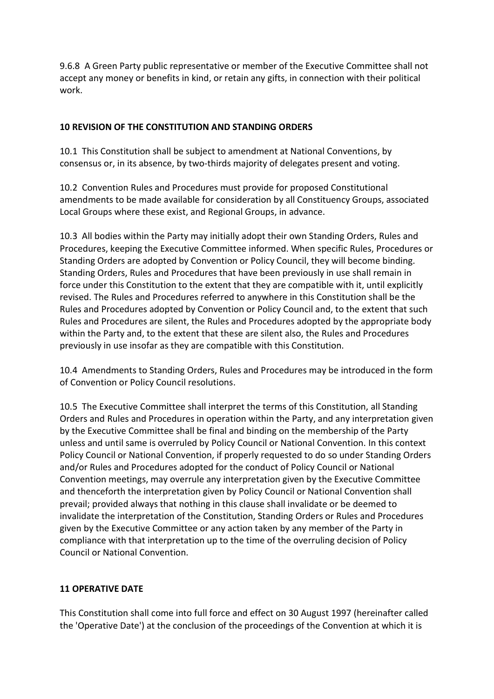9.6.8 A Green Party public representative or member of the Executive Committee shall not accept any money or benefits in kind, or retain any gifts, in connection with their political work.

#### 10 REVISION OF THE CONSTITUTION AND STANDING ORDERS

10.1 This Constitution shall be subject to amendment at National Conventions, by consensus or, in its absence, by two-thirds majority of delegates present and voting.

10.2 Convention Rules and Procedures must provide for proposed Constitutional amendments to be made available for consideration by all Constituency Groups, associated Local Groups where these exist, and Regional Groups, in advance.

10.3 All bodies within the Party may initially adopt their own Standing Orders, Rules and Procedures, keeping the Executive Committee informed. When specific Rules, Procedures or Standing Orders are adopted by Convention or Policy Council, they will become binding. Standing Orders, Rules and Procedures that have been previously in use shall remain in force under this Constitution to the extent that they are compatible with it, until explicitly revised. The Rules and Procedures referred to anywhere in this Constitution shall be the Rules and Procedures adopted by Convention or Policy Council and, to the extent that such Rules and Procedures are silent, the Rules and Procedures adopted by the appropriate body within the Party and, to the extent that these are silent also, the Rules and Procedures previously in use insofar as they are compatible with this Constitution.

10.4 Amendments to Standing Orders, Rules and Procedures may be introduced in the form of Convention or Policy Council resolutions.

10.5 The Executive Committee shall interpret the terms of this Constitution, all Standing Orders and Rules and Procedures in operation within the Party, and any interpretation given by the Executive Committee shall be final and binding on the membership of the Party unless and until same is overruled by Policy Council or National Convention. In this context Policy Council or National Convention, if properly requested to do so under Standing Orders and/or Rules and Procedures adopted for the conduct of Policy Council or National Convention meetings, may overrule any interpretation given by the Executive Committee and thenceforth the interpretation given by Policy Council or National Convention shall prevail; provided always that nothing in this clause shall invalidate or be deemed to invalidate the interpretation of the Constitution, Standing Orders or Rules and Procedures given by the Executive Committee or any action taken by any member of the Party in compliance with that interpretation up to the time of the overruling decision of Policy Council or National Convention.

#### 11 OPERATIVE DATE

This Constitution shall come into full force and effect on 30 August 1997 (hereinafter called the 'Operative Date') at the conclusion of the proceedings of the Convention at which it is